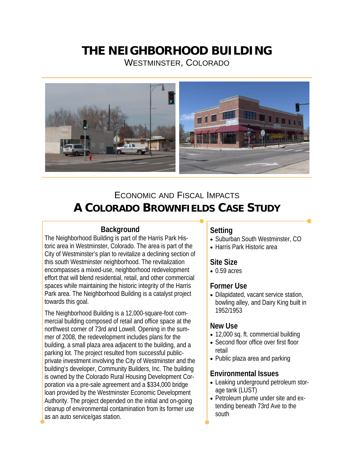# **THE NEIGHBORHOOD BUILDING**

WESTMINSTER, COLORADO



# ECONOMIC AND FISCAL IMPACTS **A COLORADO BROWNFIELDS CASE STUDY**

# **Background**

The Neighborhood Building is part of the Harris Park Historic area in Westminster, Colorado. The area is part of the City of Westminster's plan to revitalize a declining section of this south Westminster neighborhood. The revitalization encompasses a mixed-use, neighborhood redevelopment effort that will blend residential, retail, and other commercial spaces while maintaining the historic integrity of the Harris Park area. The Neighborhood Building is a catalyst project towards this goal.

The Neighborhood Building is a 12,000-square-foot commercial building composed of retail and office space at the northwest corner of 73rd and Lowell. Opening in the summer of 2008, the redevelopment includes plans for the building, a small plaza area adjacent to the building, and a parking lot. The project resulted from successful publicprivate investment involving the City of Westminster and the building's developer, Community Builders, Inc. The building is owned by the Colorado Rural Housing Development Corporation via a pre-sale agreement and a \$334,000 bridge loan provided by the Westminster Economic Development Authority. The project depended on the initial and on-going cleanup of environmental contamination from its former use as an auto service/gas station.

# **Setting**

- Suburban South Westminster, CO
- Harris Park Historic area

# **Site Size**

• 0.59 acres

# **Former Use**

• Dilapidated, vacant service station, bowling alley, and Dairy King built in 1952/1953

#### **New Use**

- 12,000 sq. ft. commercial building
- Second floor office over first floor retail
- Public plaza area and parking

# **Environmental Issues**

- Leaking underground petroleum storage tank (LUST)
- Petroleum plume under site and extending beneath 73rd Ave to the south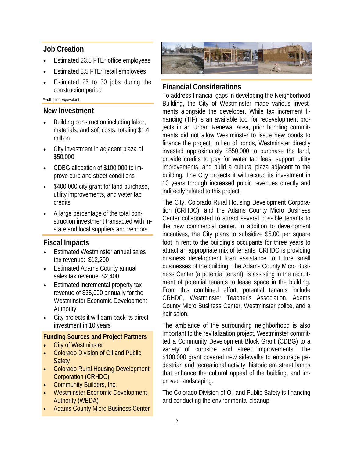#### **Job Creation**

- Estimated 23.5 FTE\* office employees
- Estimated 8.5 FTE\* retail employees
- Estimated 25 to 30 jobs during the construction period

\*Full-Time Equivalent

#### **New Investment**

- Building construction including labor, materials, and soft costs, totaling \$1.4 million
- City investment in adjacent plaza of \$50,000
- CDBG allocation of \$100,000 to improve curb and street conditions
- \$400,000 city grant for land purchase, utility improvements, and water tap credits
- A large percentage of the total construction investment transacted with instate and local suppliers and vendors

#### **Fiscal Impacts**

- Estimated Westminster annual sales tax revenue: \$12,200
- Estimated Adams County annual sales tax revenue: \$2,400
- Estimated incremental property tax revenue of \$35,000 annually for the Westminster Economic Development Authority
- City projects it will earn back its direct investment in 10 years

#### **Funding Sources and Project Partners**

- **City of Westminster**
- Colorado Division of Oil and Public **Safety**
- Colorado Rural Housing Development Corporation (CRHDC)
- Community Builders, Inc.
- Westminster Economic Development Authority (WEDA)
- **Adams County Micro Business Center**



#### **Financial Considerations**

To address financial gaps in developing the Neighborhood Building, the City of Westminster made various investments alongside the developer. While tax increment financing (TIF) is an available tool for redevelopment projects in an Urban Renewal Area, prior bonding commitments did not allow Westminster to issue new bonds to finance the project. In lieu of bonds, Westminster directly invested approximately \$550,000 to purchase the land, provide credits to pay for water tap fees, support utility improvements, and build a cultural plaza adjacent to the building. The City projects it will recoup its investment in 10 years through increased public revenues directly and indirectly related to this project.

The City, Colorado Rural Housing Development Corporation (CRHDC), and the Adams County Micro Business Center collaborated to attract several possible tenants to the new commercial center. In addition to development incentives, the City plans to subsidize \$5.00 per square foot in rent to the building's occupants for three years to attract an appropriate mix of tenants. CRHDC is providing business development loan assistance to future small businesses of the building. The Adams County Micro Business Center (a potential tenant), is assisting in the recruitment of potential tenants to lease space in the building. From this combined effort, potential tenants include CRHDC, Westminster Teacher's Association, Adams County Micro Business Center, Westminster police, and a hair salon.

The ambiance of the surrounding neighborhood is also important to the revitalization project. Westminster committed a Community Development Block Grant (CDBG) to a variety of curbside and street improvements. The \$100,000 grant covered new sidewalks to encourage pedestrian and recreational activity, historic era street lamps that enhance the cultural appeal of the building, and improved landscaping.

The Colorado Division of Oil and Public Safety is financing and conducting the environmental cleanup.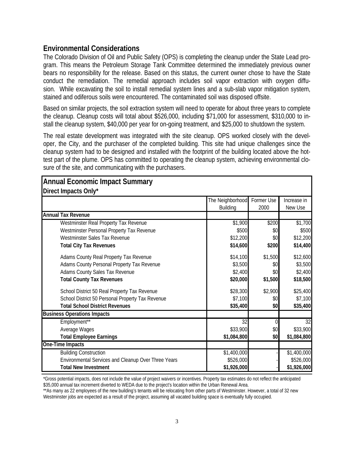### **Environmental Considerations**

The Colorado Division of Oil and Public Safety (OPS) is completing the cleanup under the State Lead program. This means the Petroleum Storage Tank Committee determined the immediately previous owner bears no responsibility for the release. Based on this status, the current owner chose to have the State conduct the remediation. The remedial approach includes soil vapor extraction with oxygen diffusion. While excavating the soil to install remedial system lines and a sub-slab vapor mitigation system, stained and odiferous soils were encountered. The contaminated soil was disposed offsite.

Based on similar projects, the soil extraction system will need to operate for about three years to complete the cleanup. Cleanup costs will total about \$526,000, including \$71,000 for assessment, \$310,000 to install the cleanup system, \$40,000 per year for on-going treatment, and \$25,000 to shutdown the system.

The real estate development was integrated with the site cleanup. OPS worked closely with the developer, the City, and the purchaser of the completed building. This site had unique challenges since the cleanup system had to be designed and installed with the footprint of the building located above the hottest part of the plume. OPS has committed to operating the cleanup system, achieving environmental closure of the site, and communicating with the purchasers.

| Direct Impacts Only*                                |                                     |                    |                        |
|-----------------------------------------------------|-------------------------------------|--------------------|------------------------|
|                                                     | The Neighborhood<br><b>Building</b> | Former Use<br>2000 | Increase in<br>New Use |
| <b>Annual Tax Revenue</b>                           |                                     |                    |                        |
| Westminster Real Property Tax Revenue               | \$1,900                             | \$200              | \$1,700                |
| Westminster Personal Property Tax Revenue           | \$500                               | \$0                | \$500                  |
| Westminster Sales Tax Revenue                       | \$12,200                            | \$0                | \$12,200               |
| <b>Total City Tax Revenues</b>                      | \$14,600                            | \$200              | \$14,400               |
| Adams County Real Property Tax Revenue              | \$14,100                            | \$1,500            | \$12,600               |
| Adams County Personal Property Tax Revenue          | \$3,500                             | \$0                | \$3,500                |
| Adams County Sales Tax Revenue                      | \$2,400                             | \$0                | \$2,400                |
| <b>Total County Tax Revenues</b>                    | \$20,000                            | \$1,500            | \$18,500               |
| School District 50 Real Property Tax Revenue        | \$28,300                            | \$2,900            | \$25,400               |
| School District 50 Personal Property Tax Revenue    | \$7,100                             | \$0                | \$7,100                |
| <b>Total School District Revenues</b>               | \$35,400                            | \$0                | \$35,400               |
| <b>Business Operations Impacts</b>                  |                                     |                    |                        |
| Employment**                                        | 32                                  |                    | 32                     |
| Average Wages                                       | \$33,900                            | \$0                | \$33,900               |
| <b>Total Employee Earnings</b>                      | \$1,084,800                         | \$0                | \$1,084,800            |
| One-Time Impacts                                    |                                     |                    |                        |
| <b>Building Construction</b>                        | \$1,400,000                         |                    | \$1,400,000            |
| Environmental Services and Cleanup Over Three Years | \$526,000                           |                    | \$526,000              |
| <b>Total New Investment</b>                         | \$1,926,000                         |                    | \$1,926,000            |

# **Annual Economic Impact Summary**

\*Gross potential impacts, does not include the value of project waivers or incentives. Property tax estimates do not reflect the anticipated \$35,000 annual tax increment diverted to WEDA due to the project's location within the Urban Renewal Area.

\*\*As many as 22 employees of the new building's tenants will be relocating from other parts of Westminster. However, a total of 32 new Westminster jobs are expected as a result of the project, assuming all vacated building space is eventually fully occupied.